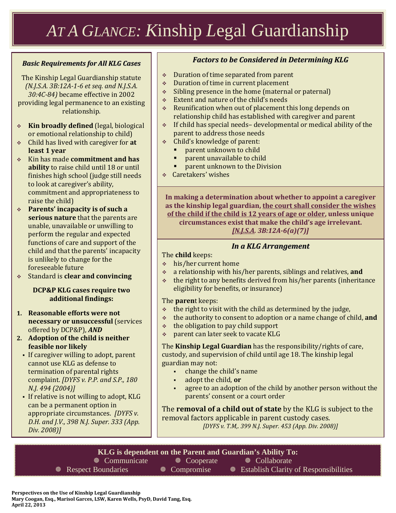# *AT A GLANCE: K*inship *L*egal *G*uardianship

#### *Basic Requirements for All KLG Cases*

The Kinship Legal Guardianship statute *(N.J.S.A. 3B:12A-1-6 et seq. and N.J.S.A. 30:4C-84)* became effective in 2002 providing legal permanence to an existing relationship.

- **Kin broadly defined** (legal, biological or emotional relationship to child)
- Child has lived with caregiver for **at least 1 year**
- Kin has made **commitment and has ability** to raise child until 18 or until finishes high school (judge still needs to look at caregiver's ability, commitment and appropriateness to raise the child)
- **Parents' incapacity is of such a serious nature** that the parents are unable, unavailable or unwilling to perform the regular and expected functions of care and support of the child and that the parents' incapacity is unlikely to change for the foreseeable future
- Standard is **clear and convincing**

#### **DCP&P KLG cases require two additional findings:**

- **1. Reasonable efforts were not necessary or unsuccessful** (services offered by DCP&P), *AND*
- **2. Adoption of the child is neither feasible nor likely**
	- If caregiver willing to adopt, parent cannot use KLG as defense to termination of parental rights complaint. *[DYFS v. P.P. and S.P., 180 N.J. 494 (2004)]*
	- If relative is not willing to adopt, KLG can be a permanent option in appropriate circumstances. *[DYFS v. D.H. and J.V., 398 N.J. Super. 333 (App. Div. 2008)]*

### *Factors to be Considered in Determining KLG*

- Duration of time separated from parent
- Duration of time in current placement
- $\div$  Sibling presence in the home (maternal or paternal)
- Extent and nature of the child's needs
- Reunification when out of placement this long depends on relationship child has established with caregiver and parent
- $\cdot$  If child has special needs-developmental or medical ability of the parent to address those needs
- Child's knowledge of parent:
	- parent unknown to child
	- parent unavailable to child
	- parent unknown to the Division
- Caretakers' wishes

**In making a determination about whether to appoint a caregiver as the kinship legal guardian, the court shall consider the wishes of the child if the child is 12 years of age or older, unless unique circumstances exist that make the child's age irrelevant.**  *[N.J.S.A. 3B:12A-6(a)(7)]*

#### *In a KLG Arrangement*

The **child** keeps:

- his/her current home
- a relationship with his/her parents, siblings and relatives, **and**
- $\cdot$  the right to any benefits derived from his/her parents (inheritance eligibility for benefits, or insurance)

The **paren**t keeps:

- $\cdot$  the right to visit with the child as determined by the judge,
- **↓** the authority to consent to adoption or a name change of child, **and**<br>↓ the obligation to nay child support
- $\div$  the obligation to pay child support<br> $\div$  parent can later seek to vacate KLG
- parent can later seek to vacate KLG

The **Kinship Legal Guardian** has the responsibility/rights of care, custody, and supervision of child until age 18. The kinship legal guardian may not:

- change the child's name
- adopt the child, **or**
- agree to an adoption of the child by another person without the parents' consent or a court order

The **removal of a child out of state** by the KLG is subject to the removal factors applicable in parent custody cases.

*[DYFS v. T.M,. 399 N.J. Super. 453 (App. Div. 2008)]*

**KLG is dependent on the Parent and Guardian's Ability To: Example 18 Cooperate** All Cooperate Allemannicate Collaborate **EXECUTE: EXECUTE: EXECUTE: WE COMPRISE: WE EXECUTE: WE ESTABLISH CLARITY Of Responsibilities**